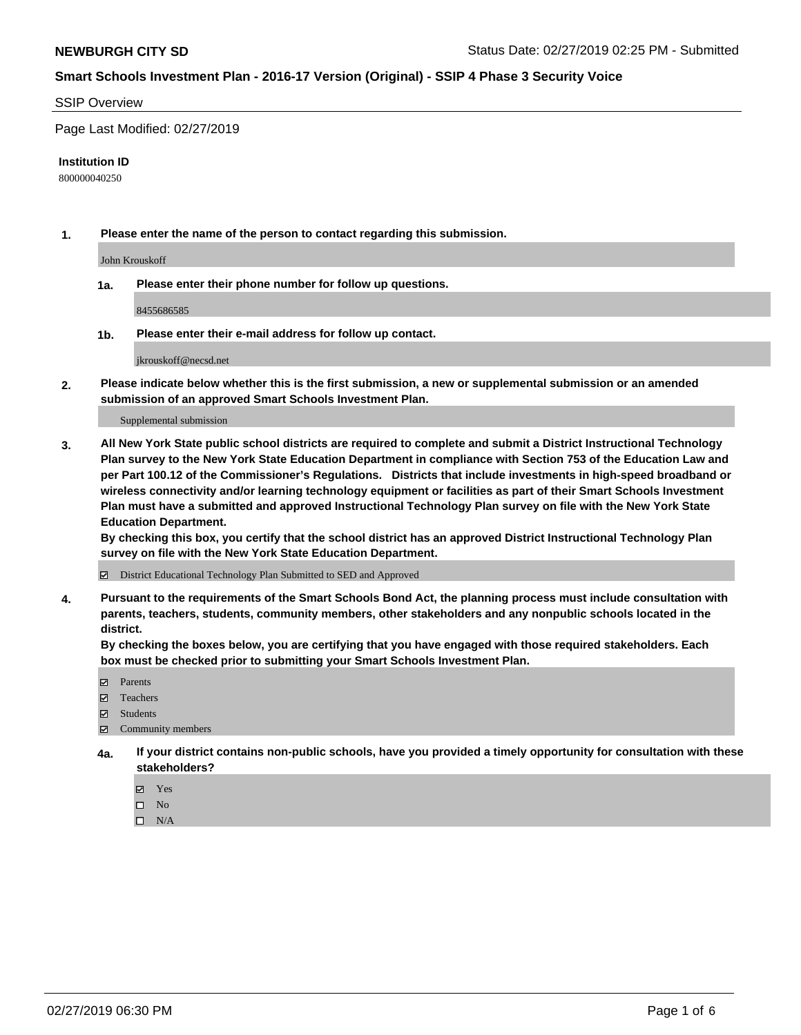#### SSIP Overview

Page Last Modified: 02/27/2019

#### **Institution ID**

800000040250

**1. Please enter the name of the person to contact regarding this submission.**

John Krouskoff

**1a. Please enter their phone number for follow up questions.**

8455686585

**1b. Please enter their e-mail address for follow up contact.**

jkrouskoff@necsd.net

**2. Please indicate below whether this is the first submission, a new or supplemental submission or an amended submission of an approved Smart Schools Investment Plan.**

Supplemental submission

**3. All New York State public school districts are required to complete and submit a District Instructional Technology Plan survey to the New York State Education Department in compliance with Section 753 of the Education Law and per Part 100.12 of the Commissioner's Regulations. Districts that include investments in high-speed broadband or wireless connectivity and/or learning technology equipment or facilities as part of their Smart Schools Investment Plan must have a submitted and approved Instructional Technology Plan survey on file with the New York State Education Department.** 

**By checking this box, you certify that the school district has an approved District Instructional Technology Plan survey on file with the New York State Education Department.**

District Educational Technology Plan Submitted to SED and Approved

**4. Pursuant to the requirements of the Smart Schools Bond Act, the planning process must include consultation with parents, teachers, students, community members, other stakeholders and any nonpublic schools located in the district.** 

**By checking the boxes below, you are certifying that you have engaged with those required stakeholders. Each box must be checked prior to submitting your Smart Schools Investment Plan.**

- **□** Parents
- Teachers
- Students
- $\boxtimes$  Community members
- **4a. If your district contains non-public schools, have you provided a timely opportunity for consultation with these stakeholders?**
	- Yes
	- $\qquad \qquad$  No
	- $\square$  N/A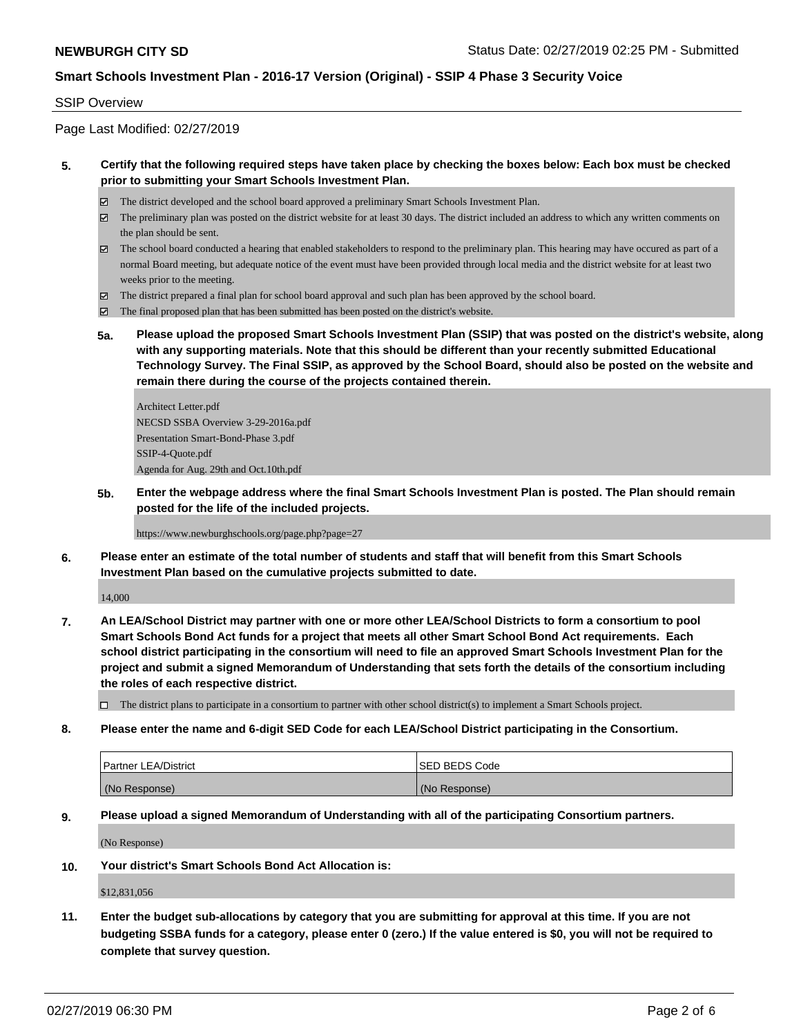#### SSIP Overview

Page Last Modified: 02/27/2019

### **5. Certify that the following required steps have taken place by checking the boxes below: Each box must be checked prior to submitting your Smart Schools Investment Plan.**

- The district developed and the school board approved a preliminary Smart Schools Investment Plan.
- $\boxtimes$  The preliminary plan was posted on the district website for at least 30 days. The district included an address to which any written comments on the plan should be sent.
- $\boxtimes$  The school board conducted a hearing that enabled stakeholders to respond to the preliminary plan. This hearing may have occured as part of a normal Board meeting, but adequate notice of the event must have been provided through local media and the district website for at least two weeks prior to the meeting.
- The district prepared a final plan for school board approval and such plan has been approved by the school board.
- $\boxtimes$  The final proposed plan that has been submitted has been posted on the district's website.
- **5a. Please upload the proposed Smart Schools Investment Plan (SSIP) that was posted on the district's website, along with any supporting materials. Note that this should be different than your recently submitted Educational Technology Survey. The Final SSIP, as approved by the School Board, should also be posted on the website and remain there during the course of the projects contained therein.**

Architect Letter.pdf NECSD SSBA Overview 3-29-2016a.pdf Presentation Smart-Bond-Phase 3.pdf SSIP-4-Quote.pdf Agenda for Aug. 29th and Oct.10th.pdf

**5b. Enter the webpage address where the final Smart Schools Investment Plan is posted. The Plan should remain posted for the life of the included projects.**

https://www.newburghschools.org/page.php?page=27

**6. Please enter an estimate of the total number of students and staff that will benefit from this Smart Schools Investment Plan based on the cumulative projects submitted to date.**

14,000

- **7. An LEA/School District may partner with one or more other LEA/School Districts to form a consortium to pool Smart Schools Bond Act funds for a project that meets all other Smart School Bond Act requirements. Each school district participating in the consortium will need to file an approved Smart Schools Investment Plan for the project and submit a signed Memorandum of Understanding that sets forth the details of the consortium including the roles of each respective district.**
	- $\Box$  The district plans to participate in a consortium to partner with other school district(s) to implement a Smart Schools project.
- **8. Please enter the name and 6-digit SED Code for each LEA/School District participating in the Consortium.**

| <b>Partner LEA/District</b> | ISED BEDS Code |
|-----------------------------|----------------|
| (No Response)               | (No Response)  |

#### **9. Please upload a signed Memorandum of Understanding with all of the participating Consortium partners.**

(No Response)

**10. Your district's Smart Schools Bond Act Allocation is:**

\$12,831,056

**11. Enter the budget sub-allocations by category that you are submitting for approval at this time. If you are not budgeting SSBA funds for a category, please enter 0 (zero.) If the value entered is \$0, you will not be required to complete that survey question.**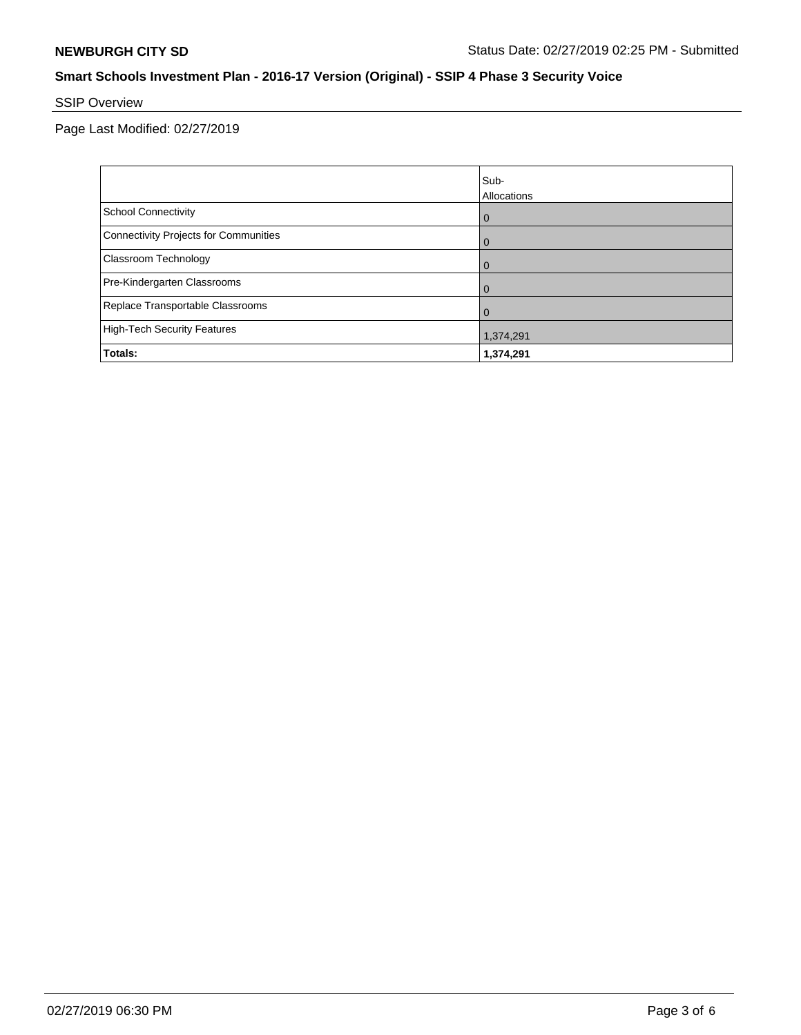# SSIP Overview

Page Last Modified: 02/27/2019

|                                       | Sub-<br>Allocations |
|---------------------------------------|---------------------|
| <b>School Connectivity</b>            | $\mathbf 0$         |
| Connectivity Projects for Communities | $\overline{0}$      |
| <b>Classroom Technology</b>           | $\overline{0}$      |
| Pre-Kindergarten Classrooms           | $\Omega$            |
| Replace Transportable Classrooms      | $\Omega$            |
| High-Tech Security Features           | 1,374,291           |
| Totals:                               | 1,374,291           |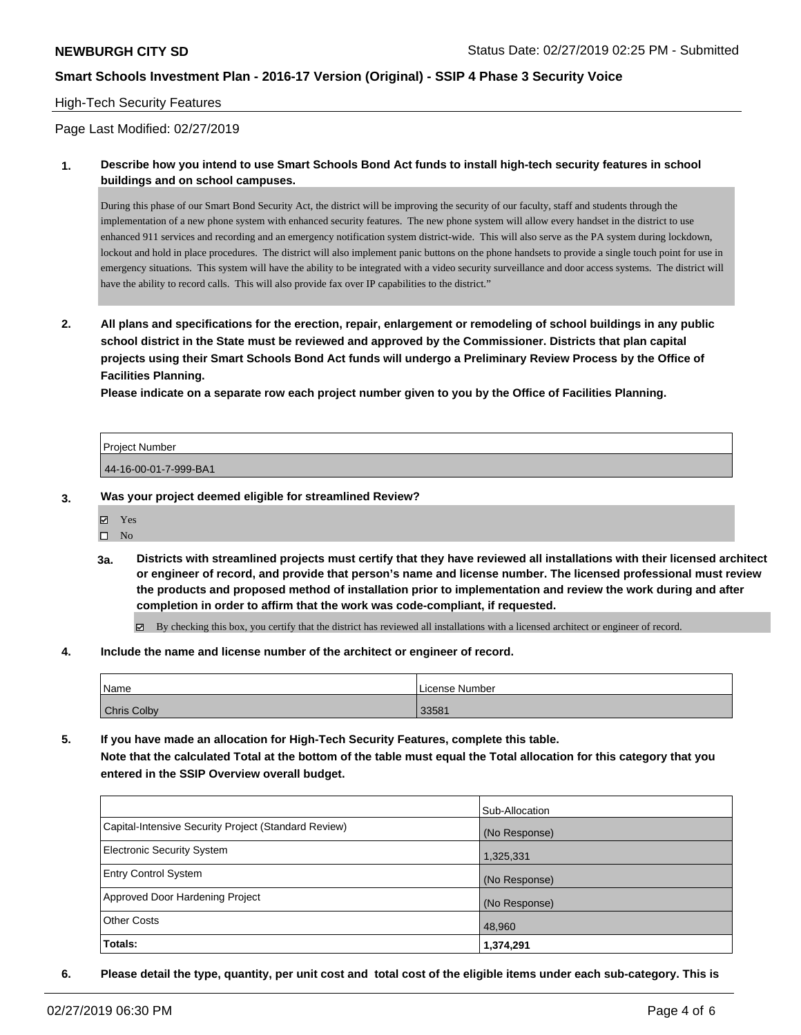#### High-Tech Security Features

Page Last Modified: 02/27/2019

### **1. Describe how you intend to use Smart Schools Bond Act funds to install high-tech security features in school buildings and on school campuses.**

During this phase of our Smart Bond Security Act, the district will be improving the security of our faculty, staff and students through the implementation of a new phone system with enhanced security features. The new phone system will allow every handset in the district to use enhanced 911 services and recording and an emergency notification system district-wide. This will also serve as the PA system during lockdown, lockout and hold in place procedures. The district will also implement panic buttons on the phone handsets to provide a single touch point for use in emergency situations. This system will have the ability to be integrated with a video security surveillance and door access systems. The district will have the ability to record calls. This will also provide fax over IP capabilities to the district."

**2. All plans and specifications for the erection, repair, enlargement or remodeling of school buildings in any public school district in the State must be reviewed and approved by the Commissioner. Districts that plan capital projects using their Smart Schools Bond Act funds will undergo a Preliminary Review Process by the Office of Facilities Planning.** 

**Please indicate on a separate row each project number given to you by the Office of Facilities Planning.**

| <b>Project Number</b> |  |
|-----------------------|--|
|                       |  |
| 44-16-00-01-7-999-BA1 |  |

#### **3. Was your project deemed eligible for streamlined Review?**

- **冈** Yes
- $\square$  No
- **3a. Districts with streamlined projects must certify that they have reviewed all installations with their licensed architect or engineer of record, and provide that person's name and license number. The licensed professional must review the products and proposed method of installation prior to implementation and review the work during and after completion in order to affirm that the work was code-compliant, if requested.**

By checking this box, you certify that the district has reviewed all installations with a licensed architect or engineer of record.

**4. Include the name and license number of the architect or engineer of record.**

| Name               | License Number |
|--------------------|----------------|
| <b>Chris Colby</b> | 33581          |

**5. If you have made an allocation for High-Tech Security Features, complete this table. Note that the calculated Total at the bottom of the table must equal the Total allocation for this category that you entered in the SSIP Overview overall budget.**

|                                                      | Sub-Allocation |
|------------------------------------------------------|----------------|
| Capital-Intensive Security Project (Standard Review) | (No Response)  |
| Electronic Security System                           | 1,325,331      |
| <b>Entry Control System</b>                          | (No Response)  |
| Approved Door Hardening Project                      | (No Response)  |
| <b>Other Costs</b>                                   | 48,960         |
| Totals:                                              | 1,374,291      |

**6. Please detail the type, quantity, per unit cost and total cost of the eligible items under each sub-category. This is**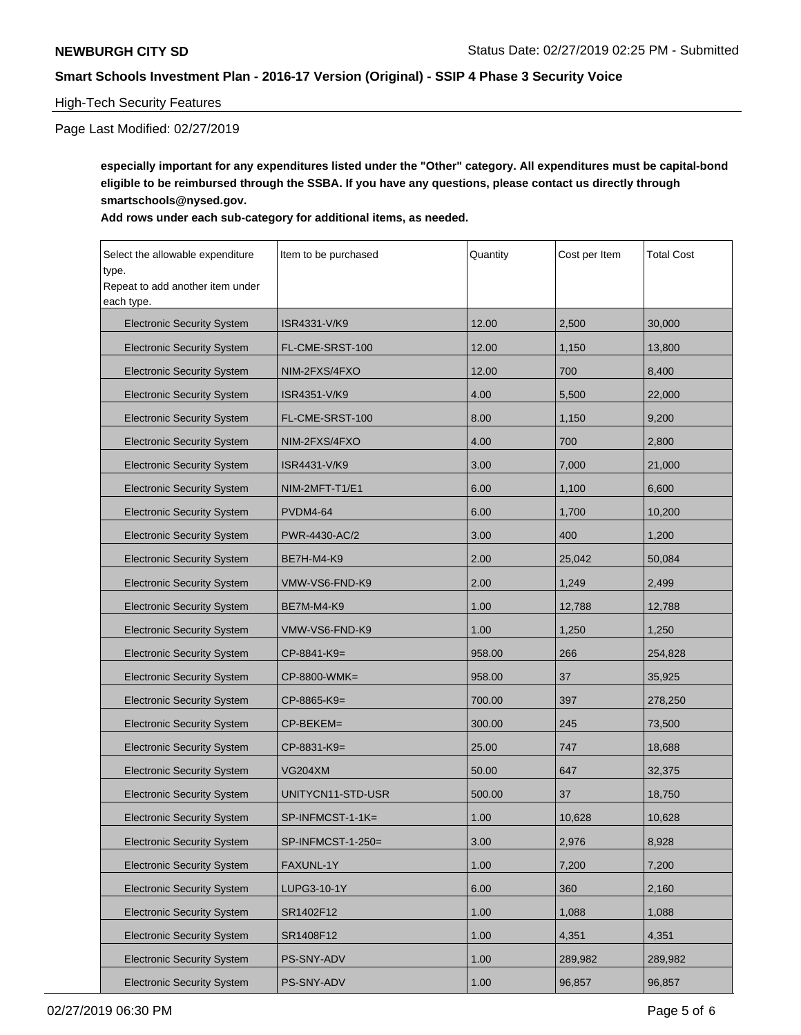## High-Tech Security Features

Page Last Modified: 02/27/2019

**especially important for any expenditures listed under the "Other" category. All expenditures must be capital-bond eligible to be reimbursed through the SSBA. If you have any questions, please contact us directly through smartschools@nysed.gov.**

### **Add rows under each sub-category for additional items, as needed.**

| Select the allowable expenditure<br>type.      | Item to be purchased | Quantity | Cost per Item | <b>Total Cost</b> |
|------------------------------------------------|----------------------|----------|---------------|-------------------|
| Repeat to add another item under<br>each type. |                      |          |               |                   |
| <b>Electronic Security System</b>              | ISR4331-V/K9         | 12.00    | 2,500         | 30,000            |
| <b>Electronic Security System</b>              | FL-CME-SRST-100      | 12.00    | 1,150         | 13,800            |
| <b>Electronic Security System</b>              | NIM-2FXS/4FXO        | 12.00    | 700           | 8,400             |
| <b>Electronic Security System</b>              | ISR4351-V/K9         | 4.00     | 5,500         | 22,000            |
| <b>Electronic Security System</b>              | FL-CME-SRST-100      | 8.00     | 1,150         | 9,200             |
| <b>Electronic Security System</b>              | NIM-2FXS/4FXO        | 4.00     | 700           | 2,800             |
| <b>Electronic Security System</b>              | ISR4431-V/K9         | 3.00     | 7,000         | 21,000            |
| <b>Electronic Security System</b>              | NIM-2MFT-T1/E1       | 6.00     | 1,100         | 6,600             |
| <b>Electronic Security System</b>              | <b>PVDM4-64</b>      | 6.00     | 1,700         | 10,200            |
| <b>Electronic Security System</b>              | PWR-4430-AC/2        | 3.00     | 400           | 1,200             |
| <b>Electronic Security System</b>              | <b>BE7H-M4-K9</b>    | 2.00     | 25,042        | 50,084            |
| <b>Electronic Security System</b>              | VMW-VS6-FND-K9       | 2.00     | 1,249         | 2,499             |
| <b>Electronic Security System</b>              | <b>BE7M-M4-K9</b>    | 1.00     | 12,788        | 12,788            |
| <b>Electronic Security System</b>              | VMW-VS6-FND-K9       | 1.00     | 1,250         | 1,250             |
| <b>Electronic Security System</b>              | CP-8841-K9=          | 958.00   | 266           | 254,828           |
| <b>Electronic Security System</b>              | CP-8800-WMK=         | 958.00   | 37            | 35,925            |
| <b>Electronic Security System</b>              | CP-8865-K9=          | 700.00   | 397           | 278,250           |
| <b>Electronic Security System</b>              | CP-BEKEM=            | 300.00   | 245           | 73,500            |
| <b>Electronic Security System</b>              | CP-8831-K9=          | 25.00    | 747           | 18,688            |
| <b>Electronic Security System</b>              | <b>VG204XM</b>       | 50.00    | 647           | 32,375            |
| <b>Electronic Security System</b>              | UNITYCN11-STD-USR    | 500.00   | 37            | 18,750            |
| <b>Electronic Security System</b>              | $SP-INFMCST-1-1K=$   | 1.00     | 10,628        | 10,628            |
| <b>Electronic Security System</b>              | SP-INFMCST-1-250=    | 3.00     | 2,976         | 8,928             |
| <b>Electronic Security System</b>              | FAXUNL-1Y            | 1.00     | 7,200         | 7,200             |
| <b>Electronic Security System</b>              | LUPG3-10-1Y          | 6.00     | 360           | 2,160             |
| <b>Electronic Security System</b>              | SR1402F12            | 1.00     | 1,088         | 1,088             |
| <b>Electronic Security System</b>              | SR1408F12            | 1.00     | 4,351         | 4,351             |
| <b>Electronic Security System</b>              | PS-SNY-ADV           | 1.00     | 289,982       | 289,982           |
| <b>Electronic Security System</b>              | PS-SNY-ADV           | 1.00     | 96,857        | 96,857            |